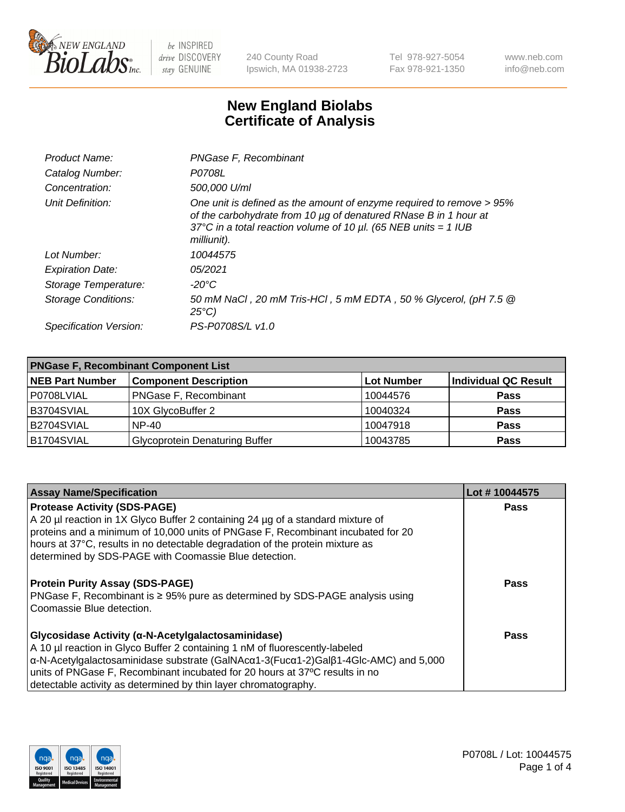

240 County Road Ipswich, MA 01938-2723 Tel 978-927-5054 Fax 978-921-1350 www.neb.com info@neb.com

## **New England Biolabs Certificate of Analysis**

| Product Name:              | PNGase F, Recombinant                                                                                                                                                                                                           |
|----------------------------|---------------------------------------------------------------------------------------------------------------------------------------------------------------------------------------------------------------------------------|
| Catalog Number:            | P0708L                                                                                                                                                                                                                          |
| Concentration:             | 500,000 U/ml                                                                                                                                                                                                                    |
| Unit Definition:           | One unit is defined as the amount of enzyme required to remove > 95%<br>of the carbohydrate from 10 µg of denatured RNase B in 1 hour at<br>37°C in a total reaction volume of 10 $\mu$ l. (65 NEB units = 1 IUB<br>milliunit). |
| Lot Number:                | 10044575                                                                                                                                                                                                                        |
| <b>Expiration Date:</b>    | 05/2021                                                                                                                                                                                                                         |
| Storage Temperature:       | -20°C                                                                                                                                                                                                                           |
| <b>Storage Conditions:</b> | 50 mM NaCl, 20 mM Tris-HCl, 5 mM EDTA, 50 % Glycerol, (pH 7.5 @<br>$25^{\circ}C$                                                                                                                                                |
| Specification Version:     | PS-P0708S/L v1.0                                                                                                                                                                                                                |

| <b>PNGase F, Recombinant Component List</b> |                                       |            |                      |  |
|---------------------------------------------|---------------------------------------|------------|----------------------|--|
| <b>NEB Part Number</b>                      | <b>Component Description</b>          | Lot Number | Individual QC Result |  |
| P0708LVIAL                                  | <b>PNGase F, Recombinant</b>          | 10044576   | <b>Pass</b>          |  |
| B3704SVIAL                                  | 10X GlycoBuffer 2                     | 10040324   | Pass                 |  |
| B2704SVIAL                                  | $NP-40$                               | 10047918   | <b>Pass</b>          |  |
| B1704SVIAL                                  | <b>Glycoprotein Denaturing Buffer</b> | 10043785   | <b>Pass</b>          |  |

| <b>Assay Name/Specification</b>                                                                                       | Lot #10044575 |
|-----------------------------------------------------------------------------------------------------------------------|---------------|
| <b>Protease Activity (SDS-PAGE)</b>                                                                                   | <b>Pass</b>   |
| A 20 µl reaction in 1X Glyco Buffer 2 containing 24 µg of a standard mixture of                                       |               |
| proteins and a minimum of 10,000 units of PNGase F, Recombinant incubated for 20                                      |               |
| hours at 37°C, results in no detectable degradation of the protein mixture as                                         |               |
| determined by SDS-PAGE with Coomassie Blue detection.                                                                 |               |
|                                                                                                                       |               |
| <b>Protein Purity Assay (SDS-PAGE)</b>                                                                                | <b>Pass</b>   |
| PNGase F, Recombinant is ≥ 95% pure as determined by SDS-PAGE analysis using                                          |               |
| l Coomassie Blue detection.                                                                                           |               |
|                                                                                                                       |               |
| <b>Glycosidase Activity (α-N-Acetylgalactosaminidase)</b>                                                             | Pass          |
| A 10 µl reaction in Glyco Buffer 2 containing 1 nM of fluorescently-labeled                                           |               |
| $\alpha$ -N-Acetylgalactosaminidase substrate (GalNAc $\alpha$ 1-3(Fuc $\alpha$ 1-2)Gal $\beta$ 1-4Glc-AMC) and 5,000 |               |
| units of PNGase F, Recombinant incubated for 20 hours at 37°C results in no                                           |               |
| detectable activity as determined by thin layer chromatography.                                                       |               |

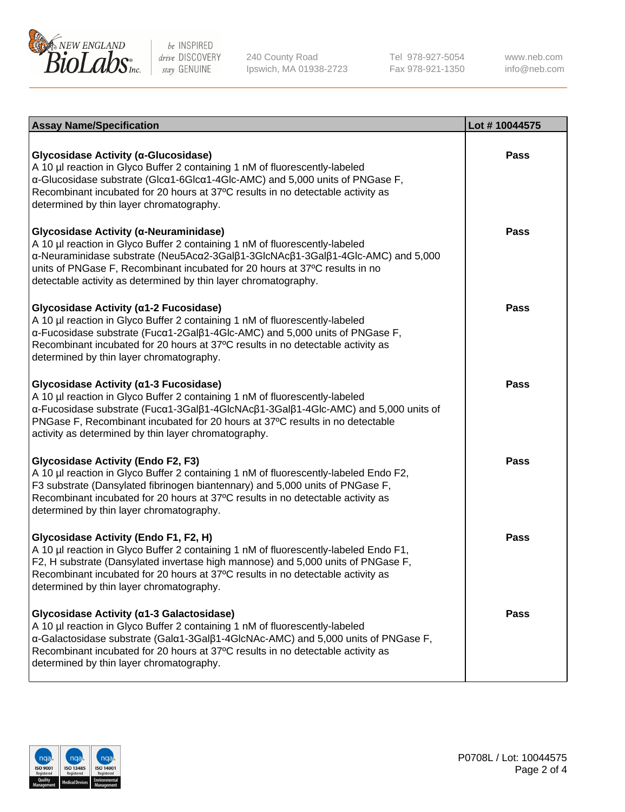

240 County Road Ipswich, MA 01938-2723 Tel 978-927-5054 Fax 978-921-1350

www.neb.com info@neb.com

| <b>Assay Name/Specification</b>                                                                                                                                                                                                                                                                                                                            | Lot #10044575 |
|------------------------------------------------------------------------------------------------------------------------------------------------------------------------------------------------------------------------------------------------------------------------------------------------------------------------------------------------------------|---------------|
| Glycosidase Activity (α-Glucosidase)<br>A 10 µl reaction in Glyco Buffer 2 containing 1 nM of fluorescently-labeled<br>a-Glucosidase substrate (Glca1-6Glca1-4Glc-AMC) and 5,000 units of PNGase F,<br>Recombinant incubated for 20 hours at 37°C results in no detectable activity as<br>determined by thin layer chromatography.                         | <b>Pass</b>   |
| Glycosidase Activity (α-Neuraminidase)<br>A 10 µl reaction in Glyco Buffer 2 containing 1 nM of fluorescently-labeled<br>α-Neuraminidase substrate (Neu5Acα2-3Galβ1-3GlcNAcβ1-3Galβ1-4Glc-AMC) and 5,000<br>units of PNGase F, Recombinant incubated for 20 hours at 37°C results in no<br>detectable activity as determined by thin layer chromatography. | <b>Pass</b>   |
| Glycosidase Activity (α1-2 Fucosidase)<br>A 10 µl reaction in Glyco Buffer 2 containing 1 nM of fluorescently-labeled<br>α-Fucosidase substrate (Fucα1-2Galβ1-4Glc-AMC) and 5,000 units of PNGase F,<br>Recombinant incubated for 20 hours at 37°C results in no detectable activity as<br>determined by thin layer chromatography.                        | Pass          |
| Glycosidase Activity (α1-3 Fucosidase)<br>A 10 µl reaction in Glyco Buffer 2 containing 1 nM of fluorescently-labeled<br>α-Fucosidase substrate (Fucα1-3Galβ1-4GlcNAcβ1-3Galβ1-4Glc-AMC) and 5,000 units of<br>PNGase F, Recombinant incubated for 20 hours at 37°C results in no detectable<br>activity as determined by thin layer chromatography.       | <b>Pass</b>   |
| <b>Glycosidase Activity (Endo F2, F3)</b><br>A 10 µl reaction in Glyco Buffer 2 containing 1 nM of fluorescently-labeled Endo F2,<br>F3 substrate (Dansylated fibrinogen biantennary) and 5,000 units of PNGase F,<br>Recombinant incubated for 20 hours at 37°C results in no detectable activity as<br>determined by thin layer chromatography.          | <b>Pass</b>   |
| Glycosidase Activity (Endo F1, F2, H)<br>A 10 µl reaction in Glyco Buffer 2 containing 1 nM of fluorescently-labeled Endo F1,<br>F2, H substrate (Dansylated invertase high mannose) and 5,000 units of PNGase F,<br>Recombinant incubated for 20 hours at 37°C results in no detectable activity as<br>determined by thin layer chromatography.           | <b>Pass</b>   |
| Glycosidase Activity (α1-3 Galactosidase)<br>A 10 µl reaction in Glyco Buffer 2 containing 1 nM of fluorescently-labeled<br>α-Galactosidase substrate (Galα1-3Galβ1-4GlcNAc-AMC) and 5,000 units of PNGase F,<br>Recombinant incubated for 20 hours at 37°C results in no detectable activity as<br>determined by thin layer chromatography.               | <b>Pass</b>   |

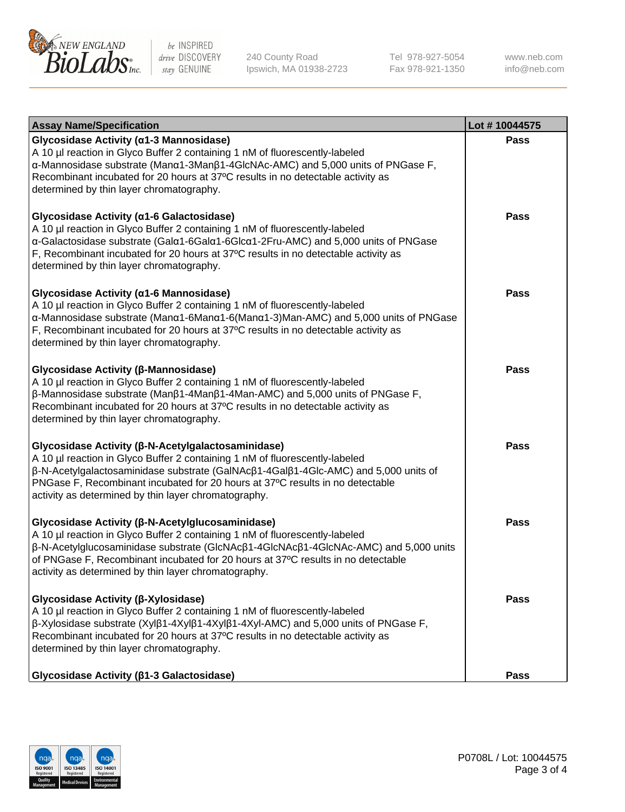

240 County Road Ipswich, MA 01938-2723 Tel 978-927-5054 Fax 978-921-1350 www.neb.com info@neb.com

| <b>Assay Name/Specification</b>                                                                                                                                                                                                                                                                                                                                        | Lot #10044575 |
|------------------------------------------------------------------------------------------------------------------------------------------------------------------------------------------------------------------------------------------------------------------------------------------------------------------------------------------------------------------------|---------------|
| Glycosidase Activity (α1-3 Mannosidase)<br>A 10 µl reaction in Glyco Buffer 2 containing 1 nM of fluorescently-labeled<br>α-Mannosidase substrate (Manα1-3Manβ1-4GlcNAc-AMC) and 5,000 units of PNGase F,<br>Recombinant incubated for 20 hours at 37°C results in no detectable activity as<br>determined by thin layer chromatography.                               | <b>Pass</b>   |
| Glycosidase Activity (α1-6 Galactosidase)<br>A 10 µl reaction in Glyco Buffer 2 containing 1 nM of fluorescently-labeled<br>α-Galactosidase substrate (Galα1-6Galα1-6Glcα1-2Fru-AMC) and 5,000 units of PNGase<br>F, Recombinant incubated for 20 hours at 37°C results in no detectable activity as<br>determined by thin layer chromatography.                       | Pass          |
| Glycosidase Activity (α1-6 Mannosidase)<br>A 10 µl reaction in Glyco Buffer 2 containing 1 nM of fluorescently-labeled<br>α-Mannosidase substrate (Manα1-6Manα1-6(Manα1-3)Man-AMC) and 5,000 units of PNGase<br>F, Recombinant incubated for 20 hours at 37°C results in no detectable activity as<br>determined by thin layer chromatography.                         | Pass          |
| Glycosidase Activity (β-Mannosidase)<br>A 10 µl reaction in Glyco Buffer 2 containing 1 nM of fluorescently-labeled<br>$\beta$ -Mannosidase substrate (Man $\beta$ 1-4Man $\beta$ 1-4Man-AMC) and 5,000 units of PNGase F,<br>Recombinant incubated for 20 hours at 37°C results in no detectable activity as<br>determined by thin layer chromatography.              | <b>Pass</b>   |
| Glycosidase Activity (β-N-Acetylgalactosaminidase)<br>A 10 µl reaction in Glyco Buffer 2 containing 1 nM of fluorescently-labeled<br>β-N-Acetylgalactosaminidase substrate (GalNAcβ1-4Galβ1-4Glc-AMC) and 5,000 units of<br>PNGase F, Recombinant incubated for 20 hours at 37°C results in no detectable<br>activity as determined by thin layer chromatography.      | <b>Pass</b>   |
| Glycosidase Activity (β-N-Acetylglucosaminidase)<br>A 10 µl reaction in Glyco Buffer 2 containing 1 nM of fluorescently-labeled<br>β-N-Acetylglucosaminidase substrate (GlcNAcβ1-4GlcNAcβ1-4GlcNAc-AMC) and 5,000 units<br>of PNGase F, Recombinant incubated for 20 hours at 37°C results in no detectable<br>activity as determined by thin layer chromatography.    | <b>Pass</b>   |
| Glycosidase Activity (β-Xylosidase)<br>A 10 µl reaction in Glyco Buffer 2 containing 1 nM of fluorescently-labeled<br>$\beta$ -Xylosidase substrate (Xyl $\beta$ 1-4Xyl $\beta$ 1-4Xyl $\beta$ 1-4Xyl-AMC) and 5,000 units of PNGase F,<br>Recombinant incubated for 20 hours at 37°C results in no detectable activity as<br>determined by thin layer chromatography. | Pass          |
| Glycosidase Activity (β1-3 Galactosidase)                                                                                                                                                                                                                                                                                                                              | Pass          |